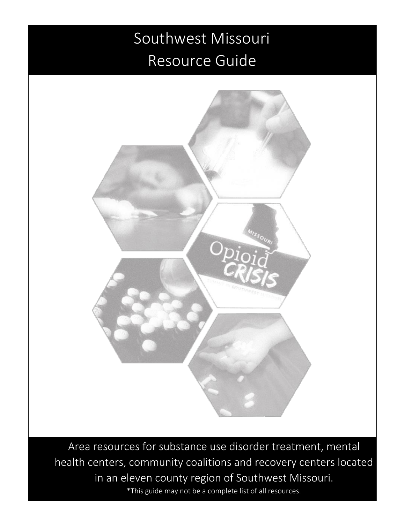#### Southwest Missouri Resource Guide

Ξ



Area resources for substance use disorder treatment, mental health centers, community coalitions and recovery centers located in an eleven county region of Southwest Missouri. \*This guide may not be a complete list of all resources.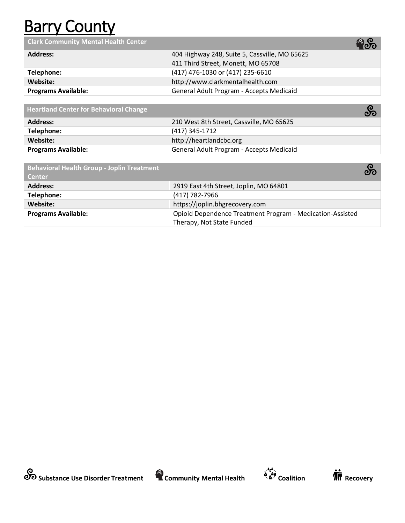## **Barry County**

**Clark Community Mental Health Center**

|                            | - Рич                                         |
|----------------------------|-----------------------------------------------|
| <b>Address:</b>            | 404 Highway 248, Suite 5, Cassville, MO 65625 |
|                            | 411 Third Street, Monett, MO 65708            |
| Telephone:                 | (417) 476-1030 or (417) 235-6610              |
| Website:                   | http://www.clarkmentalhealth.com              |
| <b>Programs Available:</b> | General Adult Program - Accepts Medicaid      |

| <b>Heartland Center for Behavioral Change</b> | တ္တိ                                     |
|-----------------------------------------------|------------------------------------------|
| <b>Address:</b>                               | 210 West 8th Street, Cassville, MO 65625 |
| Telephone:                                    | (417) 345-1712                           |
| Website:                                      | http://heartlandcbc.org                  |
| <b>Programs Available:</b>                    | General Adult Program - Accepts Medicaid |

| <b>Behavioral Health Group - Joplin Treatment</b><br><b>Center</b> | တိ                                                        |
|--------------------------------------------------------------------|-----------------------------------------------------------|
| <b>Address:</b>                                                    | 2919 East 4th Street, Joplin, MO 64801                    |
| Telephone:                                                         | (417) 782-7966                                            |
| Website:                                                           | https://joplin.bhgrecovery.com                            |
| <b>Programs Available:</b>                                         | Opioid Dependence Treatment Program - Medication-Assisted |
|                                                                    | Therapy, Not State Funded                                 |







38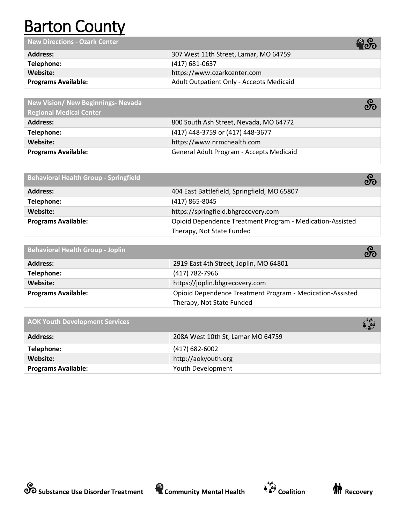## **Barton County**

**New Directions - Ozark Center**

|                            | ▪◡                                              |
|----------------------------|-------------------------------------------------|
| Address:                   | 307 West 11th Street, Lamar, MO 64759           |
| Telephone:                 | (417) 681-0637                                  |
| Website:                   | https://www.ozarkcenter.com                     |
| <b>Programs Available:</b> | <b>Adult Outpatient Only - Accepts Medicaid</b> |

| <b>New Vision/ New Beginnings- Nevada</b> | တိ                                       |
|-------------------------------------------|------------------------------------------|
| <b>Regional Medical Center</b>            |                                          |
| <b>Address:</b>                           | 800 South Ash Street, Nevada, MO 64772   |
| Telephone:                                | (417) 448-3759 or (417) 448-3677         |
| Website:                                  | https://www.nrmchealth.com               |
| <b>Programs Available:</b>                | General Adult Program - Accepts Medicaid |

| <b>Behavioral Health Group - Springfield</b> |                                                           | တိ |
|----------------------------------------------|-----------------------------------------------------------|----|
| <b>Address:</b>                              | 404 East Battlefield, Springfield, MO 65807               |    |
| Telephone:                                   | $(417)$ 865-8045                                          |    |
| Website:                                     | https://springfield.bhgrecovery.com                       |    |
| <b>Programs Available:</b>                   | Opioid Dependence Treatment Program - Medication-Assisted |    |
|                                              | Therapy, Not State Funded                                 |    |

| Behavioral Health Group - Joplin | တိ                                                        |
|----------------------------------|-----------------------------------------------------------|
| <b>Address:</b>                  | 2919 East 4th Street, Joplin, MO 64801                    |
| Telephone:                       | (417) 782-7966                                            |
| Website:                         | https://joplin.bhgrecovery.com                            |
| <b>Programs Available:</b>       | Opioid Dependence Treatment Program - Medication-Assisted |
|                                  | Therapy, Not State Funded                                 |

| <b>AOK Youth Development Services</b> |                                   |
|---------------------------------------|-----------------------------------|
| <b>Address:</b>                       | 208A West 10th St, Lamar MO 64759 |
| Telephone:                            | $(417) 682 - 6002$                |
| Website:                              | http://aokyouth.org               |
| <b>Programs Available:</b>            | Youth Development                 |



தை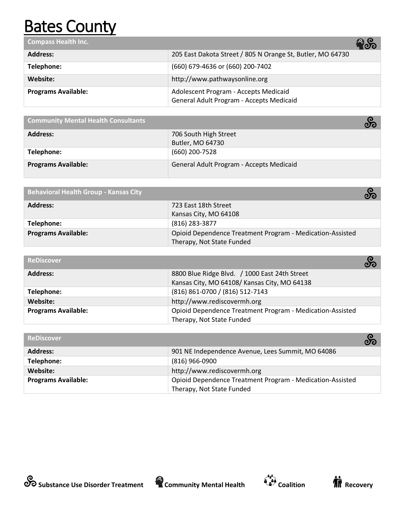## **Bates County**

| Compass Health Inc.        | <u>ေတ</u>                                                                         |
|----------------------------|-----------------------------------------------------------------------------------|
| <b>Address:</b>            | 205 East Dakota Street / 805 N Orange St, Butler, MO 64730                        |
| Telephone:                 | (660) 679-4636 or (660) 200-7402                                                  |
| Website:                   | http://www.pathwaysonline.org                                                     |
| <b>Programs Available:</b> | Adolescent Program - Accepts Medicaid<br>General Adult Program - Accepts Medicaid |

| <b>Community Mental Health Consultants</b> |                                           |
|--------------------------------------------|-------------------------------------------|
| <b>Address:</b>                            | 706 South High Street<br>Butler, MO 64730 |
| Telephone:                                 | (660) 200-7528                            |
| <b>Programs Available:</b>                 | General Adult Program - Accepts Medicaid  |

| Behavioral Health Group - Kansas City |                                                           | တိ |
|---------------------------------------|-----------------------------------------------------------|----|
| <b>Address:</b>                       | 723 East 18th Street                                      |    |
|                                       | Kansas City, MO 64108                                     |    |
| Telephone:                            | (816) 283-3877                                            |    |
| <b>Programs Available:</b>            | Opioid Dependence Treatment Program - Medication-Assisted |    |
|                                       | Therapy, Not State Funded                                 |    |

| <b>ReDiscover</b>          | တိ                                                        |
|----------------------------|-----------------------------------------------------------|
| <b>Address:</b>            | 8800 Blue Ridge Blvd. / 1000 East 24th Street             |
|                            | Kansas City, MO 64108/Kansas City, MO 64138               |
| Telephone:                 | (816) 861-0700 / (816) 512-7143                           |
| Website:                   | http://www.rediscovermh.org                               |
| <b>Programs Available:</b> | Opioid Dependence Treatment Program - Medication-Assisted |
|                            | Therapy, Not State Funded                                 |

| <b>ReDiscover</b>          |                                                           | တိ |
|----------------------------|-----------------------------------------------------------|----|
| <b>Address:</b>            | 901 NE Independence Avenue, Lees Summit, MO 64086         |    |
| Telephone:                 | $(816)$ 966-0900                                          |    |
| Website:                   | http://www.rediscovermh.org                               |    |
| <b>Programs Available:</b> | Opioid Dependence Treatment Program - Medication-Assisted |    |
|                            | Therapy, Not State Funded                                 |    |





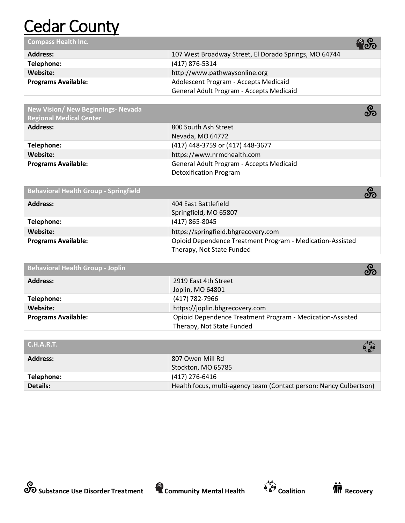## **Cedar County**

**Compass Health Inc. Address:** 107 West Broadway Street, El Dorado Springs, MO 64744 **Telephone:** (417) 876-5314<br> **Website:** (and the line of the line of the line of the line of the line of the line of the line of the line of the line of the line of the line of the line of the line of the line of the line **Website:** [http://www.pathwaysonline.org](http://www.pathwaysonline.org/)

| website: <b>w</b>   | nttp://www.pathwaysonline.org            |
|---------------------|------------------------------------------|
| Programs Available: | Adolescent Program - Accepts Medicaid    |
|                     | General Adult Program - Accepts Medicaid |
|                     |                                          |

| New Vision/ New Beginnings- Nevada<br><b>Regional Medical Center</b> | တ္တိ                                     |
|----------------------------------------------------------------------|------------------------------------------|
| <b>Address:</b>                                                      | 800 South Ash Street                     |
|                                                                      | Nevada, MO 64772                         |
| Telephone:                                                           | (417) 448-3759 or (417) 448-3677         |
| Website:                                                             | https://www.nrmchealth.com               |
| <b>Programs Available:</b>                                           | General Adult Program - Accepts Medicaid |
|                                                                      | <b>Detoxification Program</b>            |

| <b>Behavioral Health Group - Springfield</b> |                                                           | တိ |
|----------------------------------------------|-----------------------------------------------------------|----|
| <b>Address:</b>                              | 404 East Battlefield                                      |    |
|                                              | Springfield, MO 65807                                     |    |
| Telephone:                                   | (417) 865-8045                                            |    |
| Website:                                     | https://springfield.bhgrecovery.com                       |    |
| <b>Programs Available:</b>                   | Opioid Dependence Treatment Program - Medication-Assisted |    |
|                                              | Therapy, Not State Funded                                 |    |

| <b>Behavioral Health Group - Joplin</b> |                                                           | တိ |
|-----------------------------------------|-----------------------------------------------------------|----|
| <b>Address:</b>                         | 2919 East 4th Street                                      |    |
|                                         | Joplin, MO 64801                                          |    |
| Telephone:                              | (417) 782-7966                                            |    |
| Website:                                | https://joplin.bhgrecovery.com                            |    |
| <b>Programs Available:</b>              | Opioid Dependence Treatment Program - Medication-Assisted |    |
|                                         | Therapy, Not State Funded                                 |    |

| C.H.A.R.T.      |                                                                    |
|-----------------|--------------------------------------------------------------------|
| <b>Address:</b> | 807 Owen Mill Rd                                                   |
|                 | Stockton, MO 65785                                                 |
| Telephone:      | (417) 276-6416                                                     |
| Details:        | Health focus, multi-agency team (Contact person: Nancy Culbertson) |





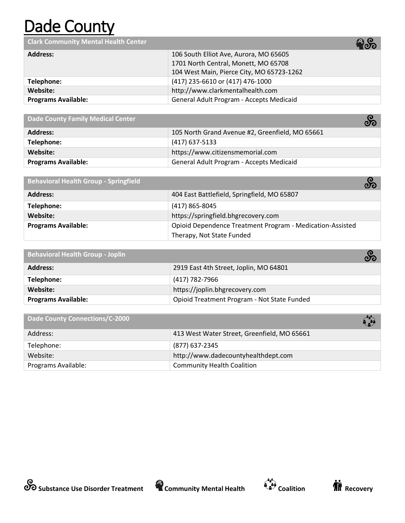## Dade County

**Clark Community Mental Health Center**

|                            | ь (Одо)                                   |
|----------------------------|-------------------------------------------|
| <b>Address:</b>            | 106 South Elliot Ave, Aurora, MO 65605    |
|                            | 1701 North Central, Monett, MO 65708      |
|                            | 104 West Main, Pierce City, MO 65723-1262 |
| Telephone:                 | (417) 235-6610 or (417) 476-1000          |
| Website:                   | http://www.clarkmentalhealth.com          |
| <b>Programs Available:</b> | General Adult Program - Accepts Medicaid  |

**Dade County Family Medical Center**

|                            | ပ္ပွာပ                                          |
|----------------------------|-------------------------------------------------|
| <b>Address:</b>            | 105 North Grand Avenue #2, Greenfield, MO 65661 |
| Telephone:                 | (417) 637-5133                                  |
| Website:                   | https://www.citizensmemorial.com                |
| <b>Programs Available:</b> | General Adult Program - Accepts Medicaid        |

| <b>Behavioral Health Group - Springfield</b> | တ္တိ                                                      |
|----------------------------------------------|-----------------------------------------------------------|
| <b>Address:</b>                              | 404 East Battlefield, Springfield, MO 65807               |
| Telephone:                                   | $(417)$ 865-8045                                          |
| Website:                                     | https://springfield.bhgrecovery.com                       |
| <b>Programs Available:</b>                   | Opioid Dependence Treatment Program - Medication-Assisted |
|                                              | Therapy, Not State Funded                                 |

| <b>Behavioral Health Group - Joplin</b> | တိ                                          |
|-----------------------------------------|---------------------------------------------|
| <b>Address:</b>                         | 2919 East 4th Street, Joplin, MO 64801      |
| Telephone:                              | (417) 782-7966                              |
| Website:                                | https://joplin.bhgrecovery.com              |
| <b>Programs Available:</b>              | Opioid Treatment Program - Not State Funded |

| <b>Dade County Connections/C-2000</b> | é a                                         |
|---------------------------------------|---------------------------------------------|
| Address:                              | 413 West Water Street, Greenfield, MO 65661 |
| Telephone:                            | (877) 637-2345                              |
| Website:                              | http://www.dadecountyhealthdept.com         |
| Programs Available:                   | <b>Community Health Coalition</b>           |





38

 $\mathbf{C}$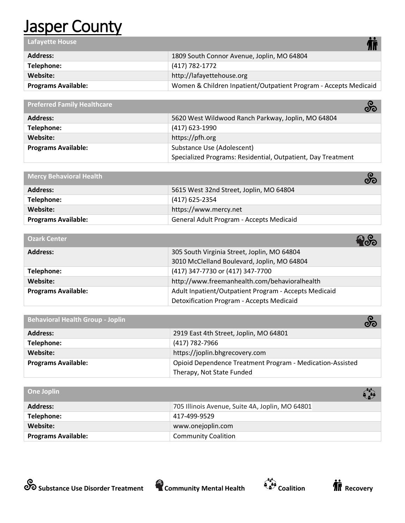#### **Jasper County**

| <b>Lafayette House</b>     |                                                                  |
|----------------------------|------------------------------------------------------------------|
| <b>Address:</b>            | 1809 South Connor Avenue, Joplin, MO 64804                       |
| Telephone:                 | (417) 782-1772                                                   |
| Website:                   | http://lafayettehouse.org                                        |
| <b>Programs Available:</b> | Women & Children Inpatient/Outpatient Program - Accepts Medicaid |
|                            |                                                                  |

| <b>Preferred Family Healthcare</b> | တိ                                                           |
|------------------------------------|--------------------------------------------------------------|
| <b>Address:</b>                    | 5620 West Wildwood Ranch Parkway, Joplin, MO 64804           |
| Telephone:                         | (417) 623-1990                                               |
| Website:                           | https://pfh.org                                              |
| <b>Programs Available:</b>         | Substance Use (Adolescent)                                   |
|                                    | Specialized Programs: Residential, Outpatient, Day Treatment |

| Mercy Behavioral Health    | တိ                                       |
|----------------------------|------------------------------------------|
| <b>Address:</b>            | 5615 West 32nd Street, Joplin, MO 64804  |
| Telephone:                 | (417) 625-2354                           |
| Website:                   | https://www.mercy.net                    |
| <b>Programs Available:</b> | General Adult Program - Accepts Medicaid |

| <b>Ozark Center</b>        | <b>Boo</b>                                            |  |
|----------------------------|-------------------------------------------------------|--|
| <b>Address:</b>            | 305 South Virginia Street, Joplin, MO 64804           |  |
|                            | 3010 McClelland Boulevard, Joplin, MO 64804           |  |
| Telephone:                 | (417) 347-7730 or (417) 347-7700                      |  |
| Website:                   | http://www.freemanhealth.com/behavioralhealth         |  |
| <b>Programs Available:</b> | Adult Inpatient/Outpatient Program - Accepts Medicaid |  |
|                            | Detoxification Program - Accepts Medicaid             |  |

| <b>Behavioral Health Group - Joplin</b> |                                                           | တိ |
|-----------------------------------------|-----------------------------------------------------------|----|
| <b>Address:</b>                         | 2919 East 4th Street, Joplin, MO 64801                    |    |
| Telephone:                              | (417) 782-7966                                            |    |
| Website:                                | https://joplin.bhgrecovery.com                            |    |
| <b>Programs Available:</b>              | Opioid Dependence Treatment Program - Medication-Assisted |    |
|                                         | Therapy, Not State Funded                                 |    |

| One Joplin                 | $\mathbf{C}$                                    |
|----------------------------|-------------------------------------------------|
| <b>Address:</b>            | 705 Illinois Avenue, Suite 4A, Joplin, MO 64801 |
| Telephone:                 | 417-499-9529                                    |
| Website:                   | www.onejoplin.com                               |
| <b>Programs Available:</b> | <b>Community Coalition</b>                      |



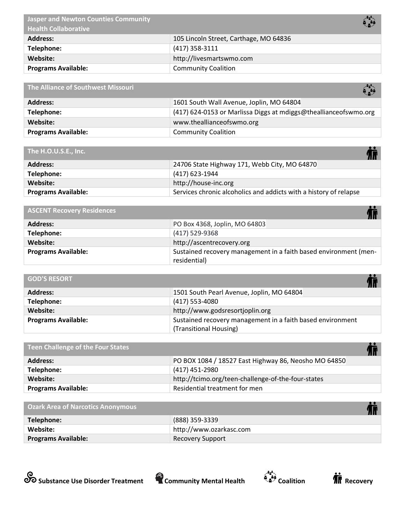| $\left( \begin{array}{c} 0 \\ 0 \end{array} \right)$ |
|------------------------------------------------------|
| 105 Lincoln Street, Carthage, MO 64836               |
| $(417)$ 358-3111                                     |
| http://livesmartswmo.com                             |
| <b>Community Coalition</b>                           |
|                                                      |

| The Alliance of Southwest Missouri | $\left( \begin{array}{c} \bullet \\ \bullet \\ \bullet \end{array} \right)$ |
|------------------------------------|-----------------------------------------------------------------------------|
| <b>Address:</b>                    | 1601 South Wall Avenue, Joplin, MO 64804                                    |
| Telephone:                         | (417) 624-0153 or Marlissa Diggs at mdiggs@theallianceofswmo.org            |
| Website:                           | www.theallianceofswmo.org                                                   |
| <b>Programs Available:</b>         | <b>Community Coalition</b>                                                  |

| The H.O.U.S.E., Inc. |  |  |  |  |
|----------------------|--|--|--|--|
|----------------------|--|--|--|--|

| The H.O.U.S.E., Inc.       | <b>TH</b>                                                         |
|----------------------------|-------------------------------------------------------------------|
| <b>Address:</b>            | 24706 State Highway 171, Webb City, MO 64870                      |
| Telephone:                 | (417) 623-1944                                                    |
| Website:                   | http://house-inc.org                                              |
| <b>Programs Available:</b> | Services chronic alcoholics and addicts with a history of relapse |

| <b>ASCENT Recovery Residences</b> |                                                                                  |
|-----------------------------------|----------------------------------------------------------------------------------|
| <b>Address:</b>                   | PO Box 4368, Joplin, MO 64803                                                    |
| Telephone:                        | (417) 529-9368                                                                   |
| Website:                          | http://ascentrecovery.org                                                        |
| <b>Programs Available:</b>        | Sustained recovery management in a faith based environment (men-<br>residential) |

| <b>GOD'S RESORT</b>        |                                                            |
|----------------------------|------------------------------------------------------------|
| <b>Address:</b>            | 1501 South Pearl Avenue, Joplin, MO 64804                  |
| Telephone:                 | $(417)$ 553-4080                                           |
| Website:                   | http://www.godsresortjoplin.org                            |
| <b>Programs Available:</b> | Sustained recovery management in a faith based environment |
|                            | (Transitional Housing)                                     |

| Teen Challenge of the Four States |                                                      |
|-----------------------------------|------------------------------------------------------|
| <b>Address:</b>                   | PO BOX 1084 / 18527 East Highway 86, Neosho MO 64850 |
| Telephone:                        | (417) 451-2980                                       |
| Website:                          | http://tcimo.org/teen-challenge-of-the-four-states   |
| <b>Programs Available:</b>        | Residential treatment for men                        |

| <b>Ozark Area of Narcotics Anonymous</b> |                         |
|------------------------------------------|-------------------------|
| Telephone:                               | (888) 359-3339          |
| Website:                                 | http://www.ozarkasc.com |
| <b>Programs Available:</b>               | <b>Recovery Support</b> |







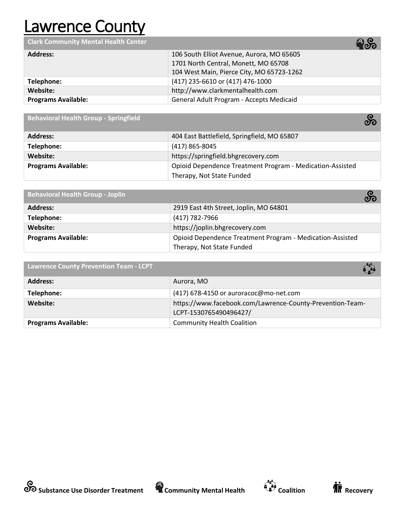#### Lawrence County

**Clark Community Mental Health Center**

|                            | ⋯                                         |
|----------------------------|-------------------------------------------|
| <b>Address:</b>            | 106 South Elliot Avenue, Aurora, MO 65605 |
|                            | 1701 North Central, Monett, MO 65708      |
|                            | 104 West Main, Pierce City, MO 65723-1262 |
| Telephone:                 | (417) 235-6610 or (417) 476-1000          |
| Website:                   | http://www.clarkmentalhealth.com          |
| <b>Programs Available:</b> | General Adult Program - Accepts Medicaid  |

**Behavioral Health Group - Springfield** 

| <b>Address:</b>            | 404 East Battlefield, Springfield, MO 65807               |
|----------------------------|-----------------------------------------------------------|
| Telephone:                 | (417) 865-8045                                            |
| Website:                   | https://springfield.bhgrecovery.com                       |
| <b>Programs Available:</b> | Opioid Dependence Treatment Program - Medication-Assisted |
|                            | Therapy, Not State Funded                                 |

| <b>Behavioral Health Group - Joplin</b> | တိ                                                        |  |
|-----------------------------------------|-----------------------------------------------------------|--|
| <b>Address:</b>                         | 2919 East 4th Street, Joplin, MO 64801                    |  |
| Telephone:                              | (417) 782-7966                                            |  |
| Website:                                | https://joplin.bhgrecovery.com                            |  |
| <b>Programs Available:</b>              | Opioid Dependence Treatment Program - Medication-Assisted |  |
|                                         | Therapy, Not State Funded                                 |  |

| <b>Lawrence County Prevention Team - LCPT</b> | $\left(\frac{1}{2}\right)$                                |
|-----------------------------------------------|-----------------------------------------------------------|
| <b>Address:</b>                               | Aurora, MO                                                |
| Telephone:                                    | (417) 678-4150 or auroracoc@mo-net.com                    |
| Website:                                      | https://www.facebook.com/Lawrence-County-Prevention-Team- |
|                                               | LCPT-1530765490496427/                                    |
| <b>Programs Available:</b>                    | <b>Community Health Coalition</b>                         |







တိ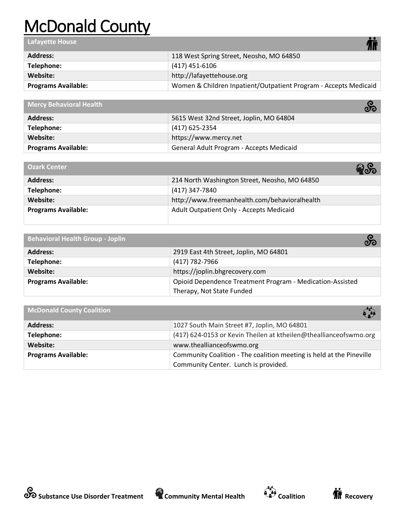# McDonald County

| <b>Lafayette House</b>     |                                                                  |
|----------------------------|------------------------------------------------------------------|
| <b>Address:</b>            | 118 West Spring Street, Neosho, MO 64850                         |
| Telephone:                 | (417) 451-6106                                                   |
| Website:                   | http://lafayettehouse.org                                        |
| <b>Programs Available:</b> | Women & Children Inpatient/Outpatient Program - Accepts Medicaid |
|                            |                                                                  |

| Mercy Behavioral Health    | တိ                                       |
|----------------------------|------------------------------------------|
| <b>Address:</b>            | 5615 West 32nd Street, Joplin, MO 64804  |
| Telephone:                 | (417) 625-2354                           |
| Website:                   | https://www.mercy.net                    |
| <b>Programs Available:</b> | General Adult Program - Accepts Medicaid |

| <b>Ozark Center</b>        | ႜႝတိ                                          |
|----------------------------|-----------------------------------------------|
| <b>Address:</b>            | 214 North Washington Street, Neosho, MO 64850 |
| Telephone:                 | (417) 347-7840                                |
| Website:                   | http://www.freemanhealth.com/behavioralhealth |
| <b>Programs Available:</b> | Adult Outpatient Only - Accepts Medicaid      |

| <b>Behavioral Health Group - Joplin</b> | တိ                                                        |
|-----------------------------------------|-----------------------------------------------------------|
| <b>Address:</b>                         | 2919 East 4th Street, Joplin, MO 64801                    |
| Telephone:                              | (417) 782-7966                                            |
| Website:                                | https://joplin.bhgrecovery.com                            |
| <b>Programs Available:</b>              | Opioid Dependence Treatment Program - Medication-Assisted |
|                                         | Therapy, Not State Funded                                 |

| <b>McDonald County Coalition</b> | $\left(\frac{1}{2}\right)$                                           |
|----------------------------------|----------------------------------------------------------------------|
| <b>Address:</b>                  | 1027 South Main Street #7, Joplin, MO 64801                          |
| Telephone:                       | (417) 624-0153 or Kevin Theilen at ktheilen@theallianceofswmo.org    |
| Website:                         | www.theallianceofswmo.org                                            |
| <b>Programs Available:</b>       | Community Coalition - The coalition meeting is held at the Pineville |
|                                  | Community Center. Lunch is provided.                                 |



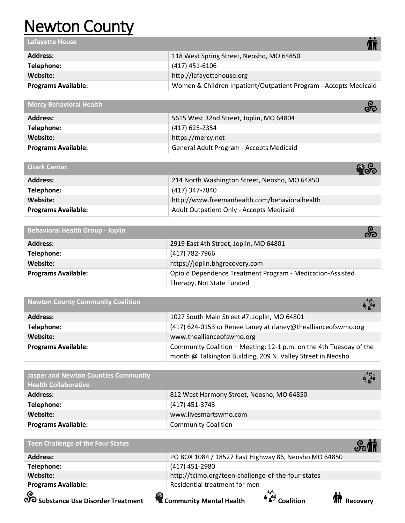#### Newton County

| <b>Lafayette House</b>     |                                                                  |
|----------------------------|------------------------------------------------------------------|
| <b>Address:</b>            | 118 West Spring Street, Neosho, MO 64850                         |
| Telephone:                 | $(417)$ 451-6106                                                 |
| Website:                   | http://lafayettehouse.org                                        |
| <b>Programs Available:</b> | Women & Children Inpatient/Outpatient Program - Accepts Medicaid |
|                            |                                                                  |

| <b>Mercy Behavioral Health</b> | တိ                                       |
|--------------------------------|------------------------------------------|
| <b>Address:</b>                | 5615 West 32nd Street, Joplin, MO 64804  |
| Telephone:                     | (417) 625-2354                           |
| Website:                       | https://mercy.net                        |
| <b>Programs Available:</b>     | General Adult Program - Accepts Medicaid |

| <b>Ozark Center</b>        |                                               |
|----------------------------|-----------------------------------------------|
| <b>Address:</b>            | 214 North Washington Street, Neosho, MO 64850 |
| Telephone:                 | (417) 347-7840                                |
| Website:                   | http://www.freemanhealth.com/behavioralhealth |
| <b>Programs Available:</b> | Adult Outpatient Only - Accepts Medicaid      |

| <b>Behavioral Health Group - Joplin</b> |                                                           | တိ |
|-----------------------------------------|-----------------------------------------------------------|----|
| <b>Address:</b>                         | 2919 East 4th Street, Joplin, MO 64801                    |    |
| Telephone:                              | (417) 782-7966                                            |    |
| Website:                                | https://joplin.bhgrecovery.com                            |    |
| <b>Programs Available:</b>              | Opioid Dependence Treatment Program - Medication-Assisted |    |
|                                         | Therapy, Not State Funded                                 |    |

| <b>Newton County Community Coalition</b> | $\sum_{i=1}^{n}$                                                                                                                   |
|------------------------------------------|------------------------------------------------------------------------------------------------------------------------------------|
| <b>Address:</b>                          | 1027 South Main Street #7, Joplin, MO 64801                                                                                        |
| Telephone:                               | (417) 624-0153 or Renee Laney at rlaney@theallianceofswmo.org                                                                      |
| Website:                                 | www.theallianceofswmo.org                                                                                                          |
| <b>Programs Available:</b>               | Community Coalition - Meeting: 12-1 p.m. on the 4th Tuesday of the<br>month @ Talkington Building, 209 N. Valley Street in Neosho. |

| <b>Jasper and Newton Counties Community</b><br><b>Health Collaborative</b> | $\mathbf{C}$                              |
|----------------------------------------------------------------------------|-------------------------------------------|
| <b>Address:</b>                                                            | 812 West Harmony Street, Neosho, MO 64850 |
| Telephone:                                                                 | $(417)$ 451-3743                          |
| Website:                                                                   | www.livesmartswmo.com                     |
| <b>Programs Available:</b>                                                 | <b>Community Coalition</b>                |

| <b>Teen Challenge of the Four States</b> |                                                      |
|------------------------------------------|------------------------------------------------------|
| <b>Address:</b>                          | PO BOX 1084 / 18527 East Highway 86, Neosho MO 64850 |
| Telephone:                               | (417) 451-2980                                       |
| Website:                                 | http://tcimo.org/teen-challenge-of-the-four-states   |
| <b>Programs Available:</b>               | Residential treatment for men                        |
|                                          |                                                      |

**Substance Use Disorder Treatment Community Mental Health Coalition Recovery** 



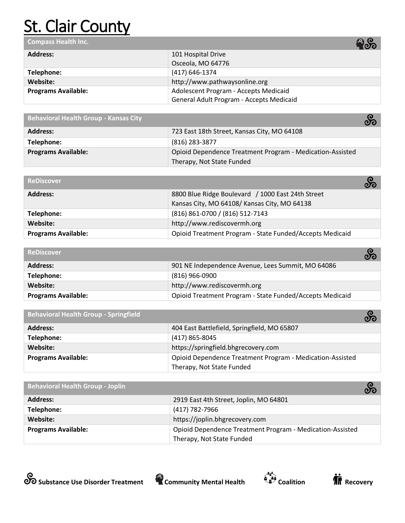# **St. Clair County**

| <b>Compass Health Inc.</b> | <b>ော</b>                                |
|----------------------------|------------------------------------------|
| <b>Address:</b>            | 101 Hospital Drive                       |
|                            | Osceola, MO 64776                        |
| Telephone:                 | (417) 646-1374                           |
| Website:                   | http://www.pathwaysonline.org            |
| <b>Programs Available:</b> | Adolescent Program - Accepts Medicaid    |
|                            | General Adult Program - Accepts Medicaid |

| <b>Behavioral Health Group - Kansas City</b> |                                                           | တိ |
|----------------------------------------------|-----------------------------------------------------------|----|
| <b>Address:</b>                              | 723 East 18th Street, Kansas City, MO 64108               |    |
| Telephone:                                   | (816) 283-3877                                            |    |
| <b>Programs Available:</b>                   | Opioid Dependence Treatment Program - Medication-Assisted |    |
|                                              | Therapy, Not State Funded                                 |    |

| <b>ReDiscover</b>          | တိ                                                       |
|----------------------------|----------------------------------------------------------|
| <b>Address:</b>            | 8800 Blue Ridge Boulevard / 1000 East 24th Street        |
|                            | Kansas City, MO 64108/Kansas City, MO 64138              |
| Telephone:                 | (816) 861-0700 / (816) 512-7143                          |
| Website:                   | http://www.rediscovermh.org                              |
| <b>Programs Available:</b> | Opioid Treatment Program - State Funded/Accepts Medicaid |

| <b>ReDiscover</b>          | တိ                                                       |
|----------------------------|----------------------------------------------------------|
| <b>Address:</b>            | 901 NE Independence Avenue, Lees Summit, MO 64086        |
| Telephone:                 | (816) 966-0900                                           |
| Website:                   | http://www.rediscovermh.org                              |
| <b>Programs Available:</b> | Opioid Treatment Program - State Funded/Accepts Medicaid |

| <b>Behavioral Health Group - Springfield</b> |                                                           | တိ |
|----------------------------------------------|-----------------------------------------------------------|----|
| <b>Address:</b>                              | 404 East Battlefield, Springfield, MO 65807               |    |
| Telephone:                                   | $(417)$ 865-8045                                          |    |
| Website:                                     | https://springfield.bhgrecovery.com                       |    |
| <b>Programs Available:</b>                   | Opioid Dependence Treatment Program - Medication-Assisted |    |
|                                              | Therapy, Not State Funded                                 |    |

| <b>Behavioral Health Group - Joplin</b> | တိ                                                        |
|-----------------------------------------|-----------------------------------------------------------|
| <b>Address:</b>                         | 2919 East 4th Street, Joplin, MO 64801                    |
| Telephone:                              | (417) 782-7966                                            |
| Website:                                | https://joplin.bhgrecovery.com                            |
| <b>Programs Available:</b>              | Opioid Dependence Treatment Program - Medication-Assisted |
|                                         | Therapy, Not State Funded                                 |





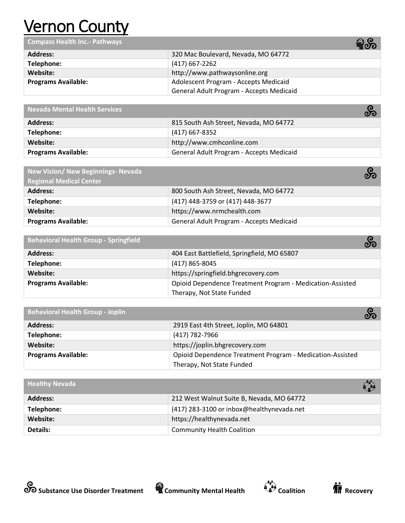# Vernon County

**Compass Health Inc.- Pathways** 

|                            | 700                                      |
|----------------------------|------------------------------------------|
| <b>Address:</b>            | 320 Mac Boulevard, Nevada, MO 64772      |
| Telephone:                 | (417) 667-2262                           |
| Website:                   | http://www.pathwaysonline.org            |
| <b>Programs Available:</b> | Adolescent Program - Accepts Medicaid    |
|                            | General Adult Program - Accepts Medicaid |

| <b>Nevada Mental Health Services</b> | တိ                                       |
|--------------------------------------|------------------------------------------|
| <b>Address:</b>                      | 815 South Ash Street, Nevada, MO 64772   |
| Telephone:                           | (417) 667-8352                           |
| Website:                             | http://www.cmhconline.com                |
| <b>Programs Available:</b>           | General Adult Program - Accepts Medicaid |

| New Vision/ New Beginnings- Nevada<br><b>Regional Medical Center</b> | တိ                                       |
|----------------------------------------------------------------------|------------------------------------------|
| <b>Address:</b>                                                      | 800 South Ash Street, Nevada, MO 64772   |
| Telephone:                                                           | (417) 448-3759 or (417) 448-3677         |
| Website:                                                             | https://www.nrmchealth.com               |
| <b>Programs Available:</b>                                           | General Adult Program - Accepts Medicaid |

| <b>Behavioral Health Group - Springfield</b> |                                                           | တိ |
|----------------------------------------------|-----------------------------------------------------------|----|
| <b>Address:</b>                              | 404 East Battlefield, Springfield, MO 65807               |    |
| Telephone:                                   | (417) 865-8045                                            |    |
| Website:                                     | https://springfield.bhgrecovery.com                       |    |
| <b>Programs Available:</b>                   | Opioid Dependence Treatment Program - Medication-Assisted |    |
|                                              | Therapy, Not State Funded                                 |    |

| <b>Behavioral Health Group - Joplin</b> |                                                           | တိ |
|-----------------------------------------|-----------------------------------------------------------|----|
| Address:                                | 2919 East 4th Street, Joplin, MO 64801                    |    |
| Telephone:                              | (417) 782-7966                                            |    |
| Website:                                | https://joplin.bhgrecovery.com                            |    |
| <b>Programs Available:</b>              | Opioid Dependence Treatment Program - Medication-Assisted |    |
|                                         | Therapy, Not State Funded                                 |    |

| <b>Healthy Nevada</b> |                                           |
|-----------------------|-------------------------------------------|
| <b>Address:</b>       | 212 West Walnut Suite B, Nevada, MO 64772 |
| Telephone:            | (417) 283-3100 or inbox@healthynevada.net |
| Website:              | https://healthynevada.net                 |
| Details:              | <b>Community Health Coalition</b>         |





38